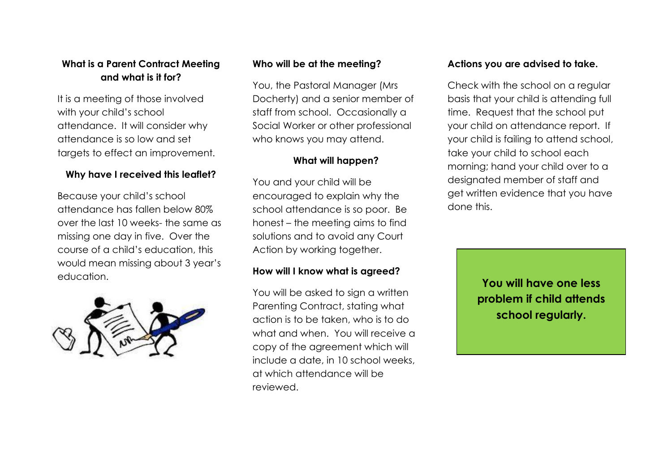#### **What is a Parent Contract Meeting and what is it for?**

It is a meeting of those involved with your child's school attendance. It will consider why attendance is so low and set targets to effect an improvement.

#### **Why have I received this leaflet?**

Because your child's school attendance has fallen below 80% over the last 10 weeks- the same as missing one day in five. Over the course of a child's education, this would mean missing about 3 year's education.



#### **Who will be at the meeting?**

You, the Pastoral Manager (Mrs Docherty) and a senior member of staff from school. Occasionally a Social Worker or other professional who knows you may attend.

#### **What will happen?**

You and your child will be encouraged to explain why the school attendance is so poor. Be honest – the meeting aims to find solutions and to avoid any Court Action by working together.

#### **How will I know what is agreed?**

You will be asked to sign a written Parenting Contract, stating what action is to be taken, who is to do what and when. You will receive a copy of the agreement which will include a date, in 10 school weeks, at which attendance will be reviewed.

#### **Actions you are advised to take.**

Check with the school on a regular basis that your child is attending full time. Request that the school put your child on attendance report. If your child is failing to attend school, take your child to school each morning; hand your child over to a designated member of staff and get written evidence that you have done this.

> **You will have one less problem if child attends school regularly.**